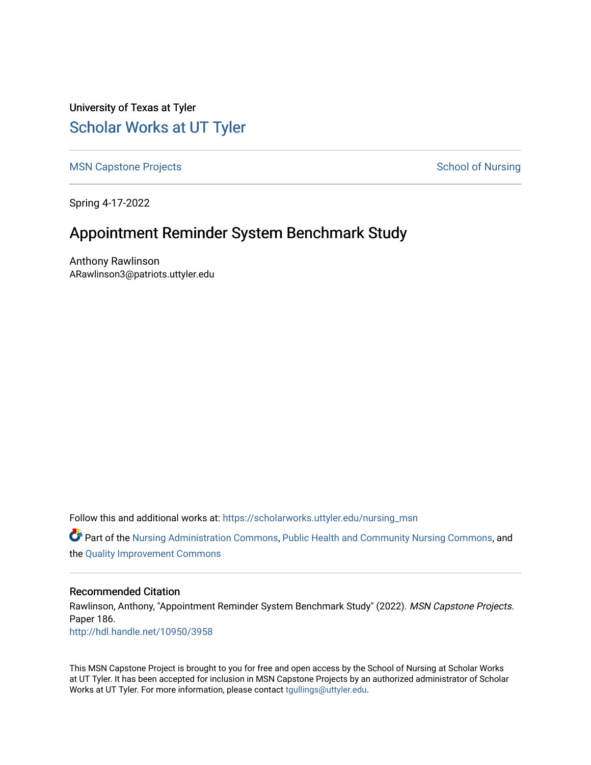University of Texas at Tyler [Scholar Works at UT Tyler](https://scholarworks.uttyler.edu/) 

[MSN Capstone Projects](https://scholarworks.uttyler.edu/nursing_msn) **School of Nursing** School of Nursing

Spring 4-17-2022

## Appointment Reminder System Benchmark Study

Anthony Rawlinson ARawlinson3@patriots.uttyler.edu

Follow this and additional works at: [https://scholarworks.uttyler.edu/nursing\\_msn](https://scholarworks.uttyler.edu/nursing_msn?utm_source=scholarworks.uttyler.edu%2Fnursing_msn%2F186&utm_medium=PDF&utm_campaign=PDFCoverPages)

**C** Part of the [Nursing Administration Commons](http://network.bepress.com/hgg/discipline/719?utm_source=scholarworks.uttyler.edu%2Fnursing_msn%2F186&utm_medium=PDF&utm_campaign=PDFCoverPages), [Public Health and Community Nursing Commons](http://network.bepress.com/hgg/discipline/725?utm_source=scholarworks.uttyler.edu%2Fnursing_msn%2F186&utm_medium=PDF&utm_campaign=PDFCoverPages), and the [Quality Improvement Commons](http://network.bepress.com/hgg/discipline/1430?utm_source=scholarworks.uttyler.edu%2Fnursing_msn%2F186&utm_medium=PDF&utm_campaign=PDFCoverPages)

#### Recommended Citation

Rawlinson, Anthony, "Appointment Reminder System Benchmark Study" (2022). MSN Capstone Projects. Paper 186. [http://hdl.handle.net/10950/3958](http://hdl.handle.net/10950/3958?utm_source=scholarworks.uttyler.edu%2Fnursing_msn%2F186&utm_medium=PDF&utm_campaign=PDFCoverPages) 

This MSN Capstone Project is brought to you for free and open access by the School of Nursing at Scholar Works at UT Tyler. It has been accepted for inclusion in MSN Capstone Projects by an authorized administrator of Scholar Works at UT Tyler. For more information, please contact [tgullings@uttyler.edu](mailto:tgullings@uttyler.edu).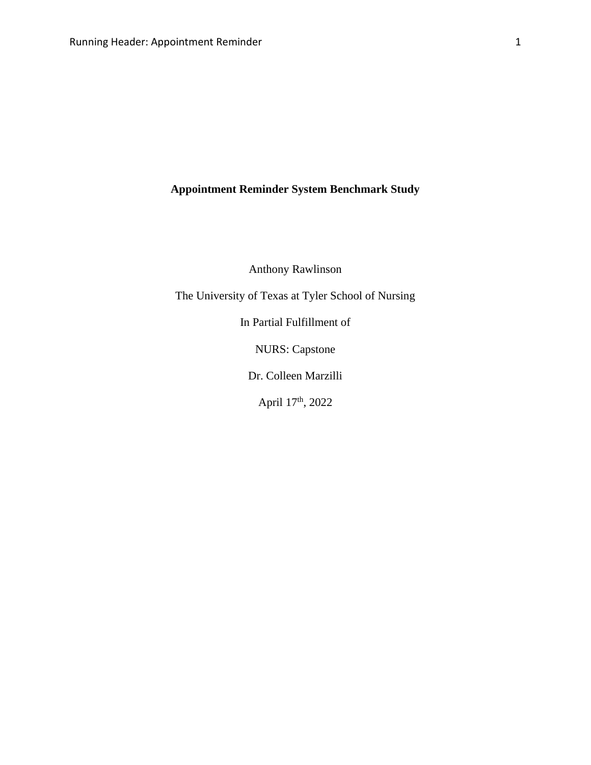**Appointment Reminder System Benchmark Study**

Anthony Rawlinson

The University of Texas at Tyler School of Nursing

In Partial Fulfillment of

NURS: Capstone

Dr. Colleen Marzilli

April 17<sup>th</sup>, 2022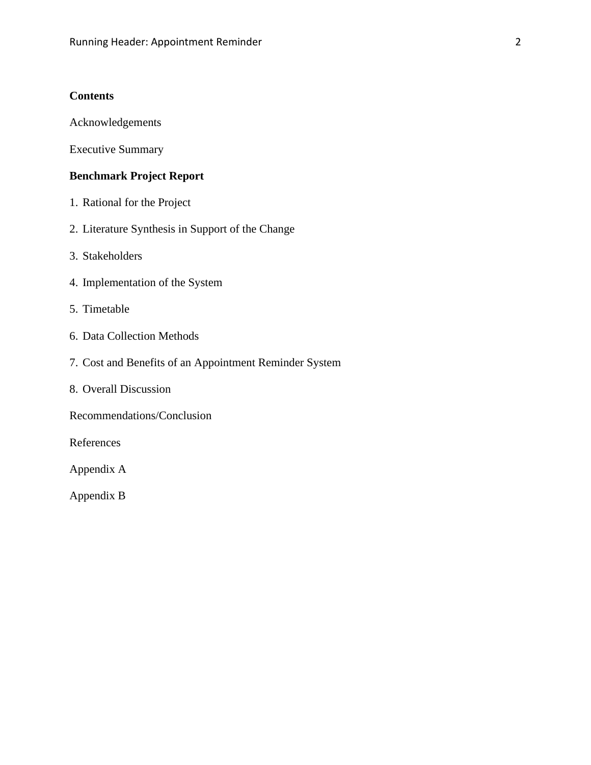## **Contents**

Acknowledgements

Executive Summary

## **Benchmark Project Report**

- 1. Rational for the Project
- 2. Literature Synthesis in Support of the Change
- 3. Stakeholders
- 4. Implementation of the System
- 5. Timetable
- 6. Data Collection Methods
- 7. Cost and Benefits of an Appointment Reminder System
- 8. Overall Discussion
- Recommendations/Conclusion

References

Appendix A

Appendix B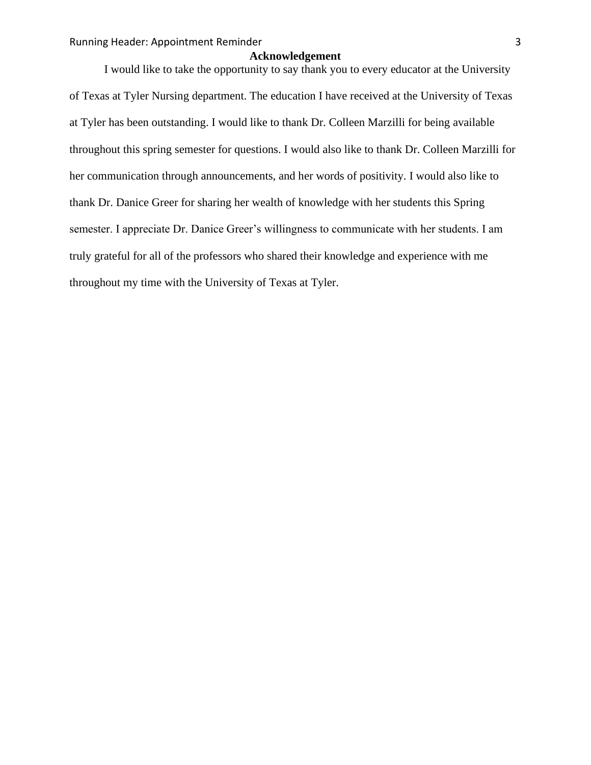#### **Acknowledgement**

I would like to take the opportunity to say thank you to every educator at the University of Texas at Tyler Nursing department. The education I have received at the University of Texas at Tyler has been outstanding. I would like to thank Dr. Colleen Marzilli for being available throughout this spring semester for questions. I would also like to thank Dr. Colleen Marzilli for her communication through announcements, and her words of positivity. I would also like to thank Dr. Danice Greer for sharing her wealth of knowledge with her students this Spring semester. I appreciate Dr. Danice Greer's willingness to communicate with her students. I am truly grateful for all of the professors who shared their knowledge and experience with me throughout my time with the University of Texas at Tyler.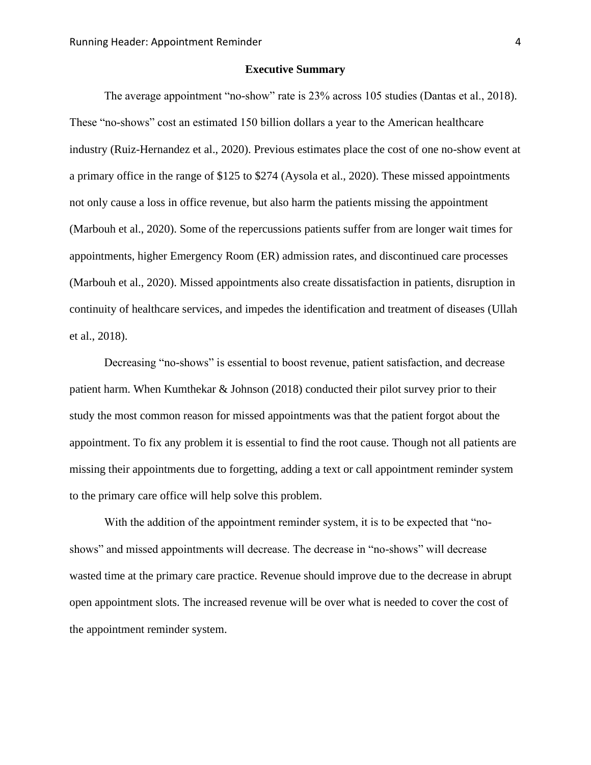#### **Executive Summary**

The average appointment "no-show" rate is 23% across 105 studies (Dantas et al., 2018). These "no-shows" cost an estimated 150 billion dollars a year to the American healthcare industry (Ruiz-Hernandez et al., 2020). Previous estimates place the cost of one no-show event at a primary office in the range of \$125 to \$274 (Aysola et al., 2020). These missed appointments not only cause a loss in office revenue, but also harm the patients missing the appointment (Marbouh et al., 2020). Some of the repercussions patients suffer from are longer wait times for appointments, higher Emergency Room (ER) admission rates, and discontinued care processes (Marbouh et al., 2020). Missed appointments also create dissatisfaction in patients, disruption in continuity of healthcare services, and impedes the identification and treatment of diseases (Ullah et al., 2018).

Decreasing "no-shows" is essential to boost revenue, patient satisfaction, and decrease patient harm. When Kumthekar & Johnson (2018) conducted their pilot survey prior to their study the most common reason for missed appointments was that the patient forgot about the appointment. To fix any problem it is essential to find the root cause. Though not all patients are missing their appointments due to forgetting, adding a text or call appointment reminder system to the primary care office will help solve this problem.

With the addition of the appointment reminder system, it is to be expected that "noshows" and missed appointments will decrease. The decrease in "no-shows" will decrease wasted time at the primary care practice. Revenue should improve due to the decrease in abrupt open appointment slots. The increased revenue will be over what is needed to cover the cost of the appointment reminder system.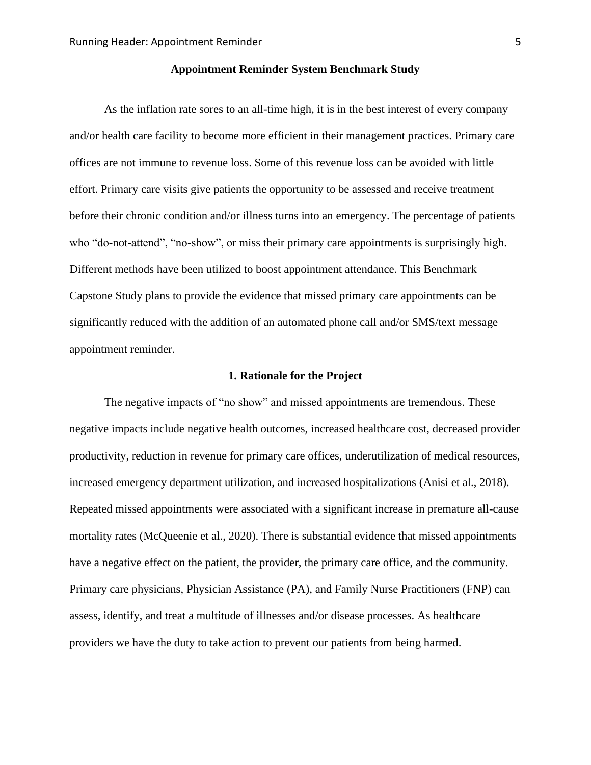### **Appointment Reminder System Benchmark Study**

As the inflation rate sores to an all-time high, it is in the best interest of every company and/or health care facility to become more efficient in their management practices. Primary care offices are not immune to revenue loss. Some of this revenue loss can be avoided with little effort. Primary care visits give patients the opportunity to be assessed and receive treatment before their chronic condition and/or illness turns into an emergency. The percentage of patients who "do-not-attend", "no-show", or miss their primary care appointments is surprisingly high. Different methods have been utilized to boost appointment attendance. This Benchmark Capstone Study plans to provide the evidence that missed primary care appointments can be significantly reduced with the addition of an automated phone call and/or SMS/text message appointment reminder.

#### **1. Rationale for the Project**

The negative impacts of "no show" and missed appointments are tremendous. These negative impacts include negative health outcomes, increased healthcare cost, decreased provider productivity, reduction in revenue for primary care offices, underutilization of medical resources, increased emergency department utilization, and increased hospitalizations (Anisi et al., 2018). Repeated missed appointments were associated with a significant increase in premature all-cause mortality rates (McQueenie et al., 2020). There is substantial evidence that missed appointments have a negative effect on the patient, the provider, the primary care office, and the community. Primary care physicians, Physician Assistance (PA), and Family Nurse Practitioners (FNP) can assess, identify, and treat a multitude of illnesses and/or disease processes. As healthcare providers we have the duty to take action to prevent our patients from being harmed.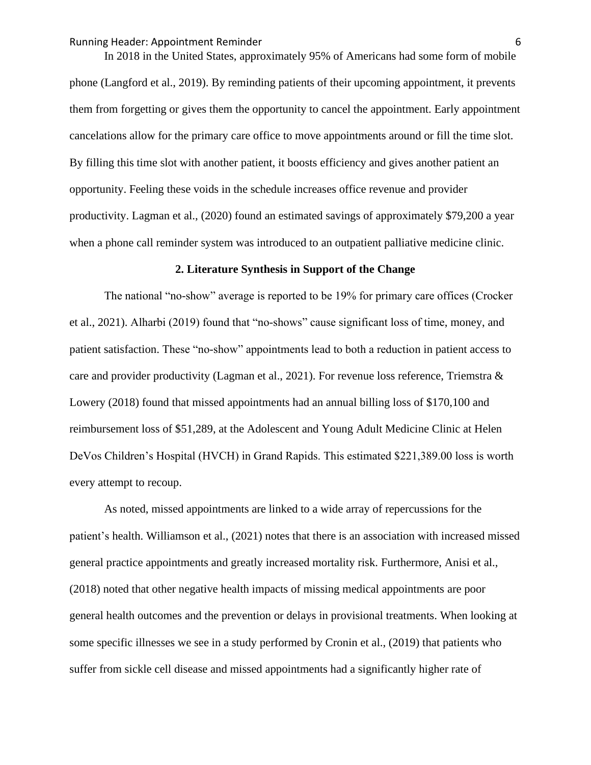Running Header: Appointment Reminder 6

In 2018 in the United States, approximately 95% of Americans had some form of mobile phone (Langford et al., 2019). By reminding patients of their upcoming appointment, it prevents them from forgetting or gives them the opportunity to cancel the appointment. Early appointment cancelations allow for the primary care office to move appointments around or fill the time slot. By filling this time slot with another patient, it boosts efficiency and gives another patient an opportunity. Feeling these voids in the schedule increases office revenue and provider productivity. Lagman et al., (2020) found an estimated savings of approximately \$79,200 a year when a phone call reminder system was introduced to an outpatient palliative medicine clinic.

#### **2. Literature Synthesis in Support of the Change**

The national "no-show" average is reported to be 19% for primary care offices (Crocker et al., 2021). Alharbi (2019) found that "no-shows" cause significant loss of time, money, and patient satisfaction. These "no-show" appointments lead to both a reduction in patient access to care and provider productivity (Lagman et al., 2021). For revenue loss reference, Triemstra & Lowery (2018) found that missed appointments had an annual billing loss of \$170,100 and reimbursement loss of \$51,289, at the Adolescent and Young Adult Medicine Clinic at Helen DeVos Children's Hospital (HVCH) in Grand Rapids. This estimated \$221,389.00 loss is worth every attempt to recoup.

As noted, missed appointments are linked to a wide array of repercussions for the patient's health. Williamson et al., (2021) notes that there is an association with increased missed general practice appointments and greatly increased mortality risk. Furthermore, Anisi et al., (2018) noted that other negative health impacts of missing medical appointments are poor general health outcomes and the prevention or delays in provisional treatments. When looking at some specific illnesses we see in a study performed by Cronin et al., (2019) that patients who suffer from sickle cell disease and missed appointments had a significantly higher rate of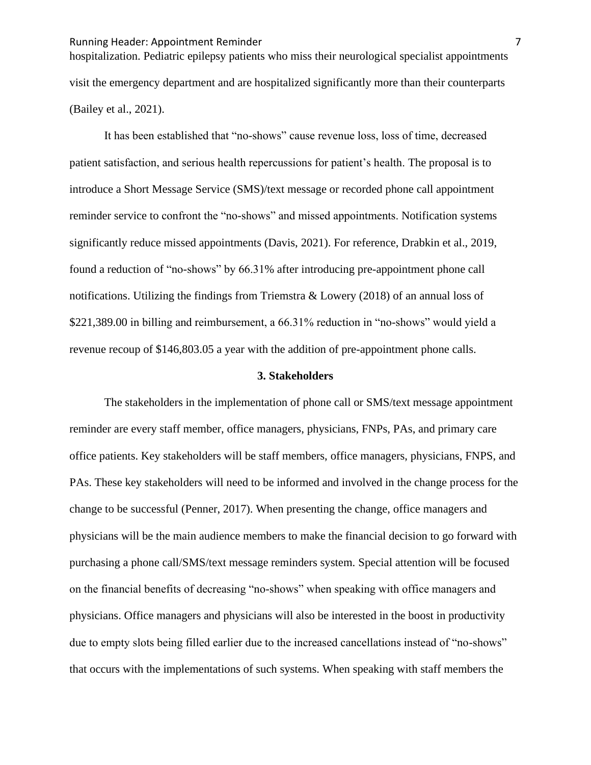hospitalization. Pediatric epilepsy patients who miss their neurological specialist appointments visit the emergency department and are hospitalized significantly more than their counterparts (Bailey et al., 2021).

It has been established that "no-shows" cause revenue loss, loss of time, decreased patient satisfaction, and serious health repercussions for patient's health. The proposal is to introduce a Short Message Service (SMS)/text message or recorded phone call appointment reminder service to confront the "no-shows" and missed appointments. Notification systems significantly reduce missed appointments (Davis, 2021). For reference, Drabkin et al., 2019, found a reduction of "no-shows" by 66.31% after introducing pre-appointment phone call notifications. Utilizing the findings from Triemstra & Lowery (2018) of an annual loss of \$221,389.00 in billing and reimbursement, a 66.31% reduction in "no-shows" would yield a revenue recoup of \$146,803.05 a year with the addition of pre-appointment phone calls.

#### **3. Stakeholders**

The stakeholders in the implementation of phone call or SMS/text message appointment reminder are every staff member, office managers, physicians, FNPs, PAs, and primary care office patients. Key stakeholders will be staff members, office managers, physicians, FNPS, and PAs. These key stakeholders will need to be informed and involved in the change process for the change to be successful (Penner, 2017). When presenting the change, office managers and physicians will be the main audience members to make the financial decision to go forward with purchasing a phone call/SMS/text message reminders system. Special attention will be focused on the financial benefits of decreasing "no-shows" when speaking with office managers and physicians. Office managers and physicians will also be interested in the boost in productivity due to empty slots being filled earlier due to the increased cancellations instead of "no-shows" that occurs with the implementations of such systems. When speaking with staff members the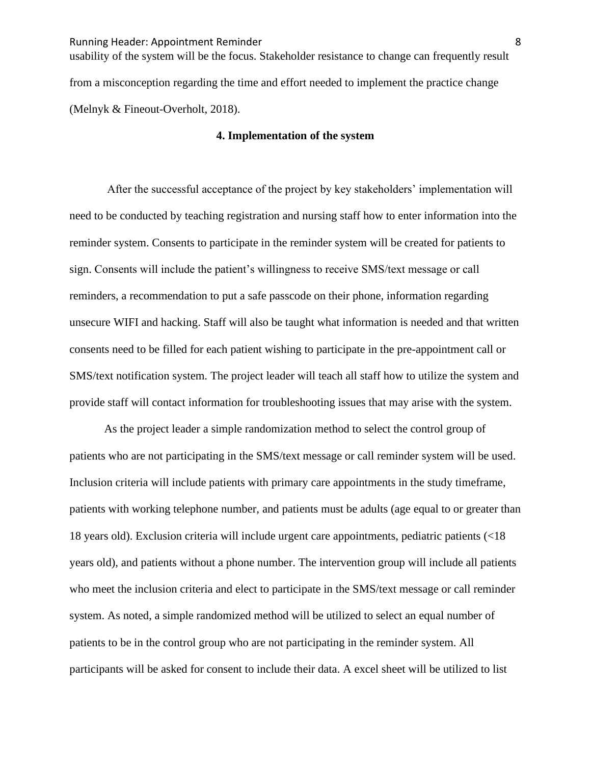usability of the system will be the focus. Stakeholder resistance to change can frequently result from a misconception regarding the time and effort needed to implement the practice change (Melnyk & Fineout-Overholt, 2018).

#### **4. Implementation of the system**

After the successful acceptance of the project by key stakeholders' implementation will need to be conducted by teaching registration and nursing staff how to enter information into the reminder system. Consents to participate in the reminder system will be created for patients to sign. Consents will include the patient's willingness to receive SMS/text message or call reminders, a recommendation to put a safe passcode on their phone, information regarding unsecure WIFI and hacking. Staff will also be taught what information is needed and that written consents need to be filled for each patient wishing to participate in the pre-appointment call or SMS/text notification system. The project leader will teach all staff how to utilize the system and provide staff will contact information for troubleshooting issues that may arise with the system.

As the project leader a simple randomization method to select the control group of patients who are not participating in the SMS/text message or call reminder system will be used. Inclusion criteria will include patients with primary care appointments in the study timeframe, patients with working telephone number, and patients must be adults (age equal to or greater than 18 years old). Exclusion criteria will include urgent care appointments, pediatric patients (<18 years old), and patients without a phone number. The intervention group will include all patients who meet the inclusion criteria and elect to participate in the SMS/text message or call reminder system. As noted, a simple randomized method will be utilized to select an equal number of patients to be in the control group who are not participating in the reminder system. All participants will be asked for consent to include their data. A excel sheet will be utilized to list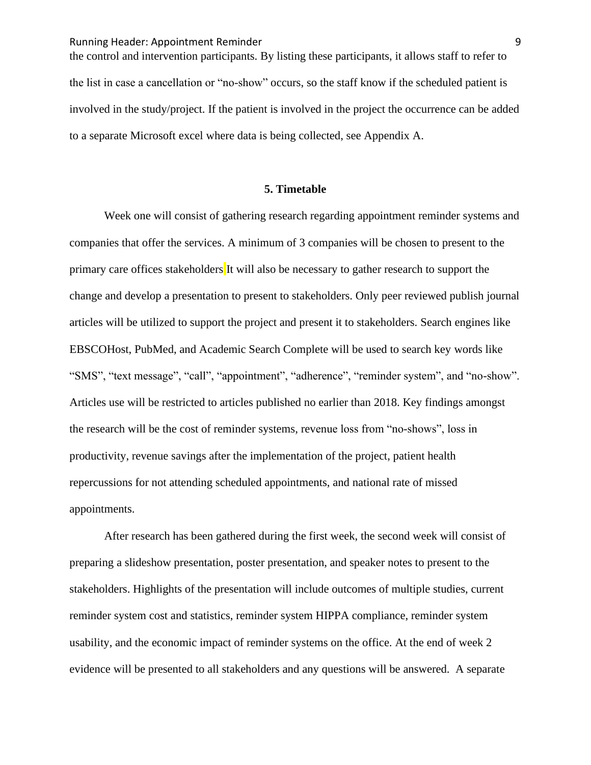the control and intervention participants. By listing these participants, it allows staff to refer to the list in case a cancellation or "no-show" occurs, so the staff know if the scheduled patient is involved in the study/project. If the patient is involved in the project the occurrence can be added to a separate Microsoft excel where data is being collected, see Appendix A.

#### **5. Timetable**

Week one will consist of gathering research regarding appointment reminder systems and companies that offer the services. A minimum of 3 companies will be chosen to present to the primary care offices stakeholders It will also be necessary to gather research to support the change and develop a presentation to present to stakeholders. Only peer reviewed publish journal articles will be utilized to support the project and present it to stakeholders. Search engines like EBSCOHost, PubMed, and Academic Search Complete will be used to search key words like "SMS", "text message", "call", "appointment", "adherence", "reminder system", and "no-show". Articles use will be restricted to articles published no earlier than 2018. Key findings amongst the research will be the cost of reminder systems, revenue loss from "no-shows", loss in productivity, revenue savings after the implementation of the project, patient health repercussions for not attending scheduled appointments, and national rate of missed appointments.

After research has been gathered during the first week, the second week will consist of preparing a slideshow presentation, poster presentation, and speaker notes to present to the stakeholders. Highlights of the presentation will include outcomes of multiple studies, current reminder system cost and statistics, reminder system HIPPA compliance, reminder system usability, and the economic impact of reminder systems on the office. At the end of week 2 evidence will be presented to all stakeholders and any questions will be answered. A separate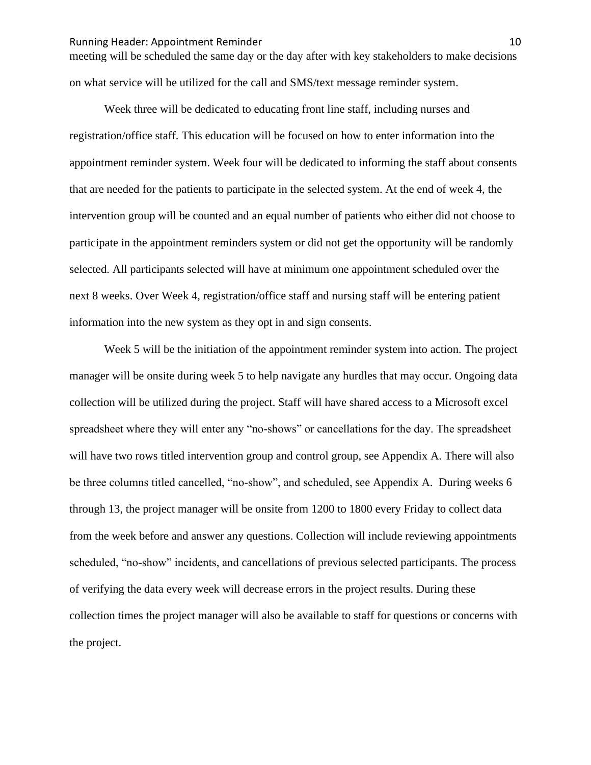#### Running Header: Appointment Reminder 10 and 10 and 10 and 10 and 10 and 10 and 10 and 10 and 10 and 10 and 10 and 10 and 10 and 10 and 10 and 10 and 10 and 10 and 10 and 10 and 10 and 10 and 10 and 10 and 10 and 10 and 10

meeting will be scheduled the same day or the day after with key stakeholders to make decisions on what service will be utilized for the call and SMS/text message reminder system.

Week three will be dedicated to educating front line staff, including nurses and registration/office staff. This education will be focused on how to enter information into the appointment reminder system. Week four will be dedicated to informing the staff about consents that are needed for the patients to participate in the selected system. At the end of week 4, the intervention group will be counted and an equal number of patients who either did not choose to participate in the appointment reminders system or did not get the opportunity will be randomly selected. All participants selected will have at minimum one appointment scheduled over the next 8 weeks. Over Week 4, registration/office staff and nursing staff will be entering patient information into the new system as they opt in and sign consents.

Week 5 will be the initiation of the appointment reminder system into action. The project manager will be onsite during week 5 to help navigate any hurdles that may occur. Ongoing data collection will be utilized during the project. Staff will have shared access to a Microsoft excel spreadsheet where they will enter any "no-shows" or cancellations for the day. The spreadsheet will have two rows titled intervention group and control group, see Appendix A. There will also be three columns titled cancelled, "no-show", and scheduled, see Appendix A. During weeks 6 through 13, the project manager will be onsite from 1200 to 1800 every Friday to collect data from the week before and answer any questions. Collection will include reviewing appointments scheduled, "no-show" incidents, and cancellations of previous selected participants. The process of verifying the data every week will decrease errors in the project results. During these collection times the project manager will also be available to staff for questions or concerns with the project.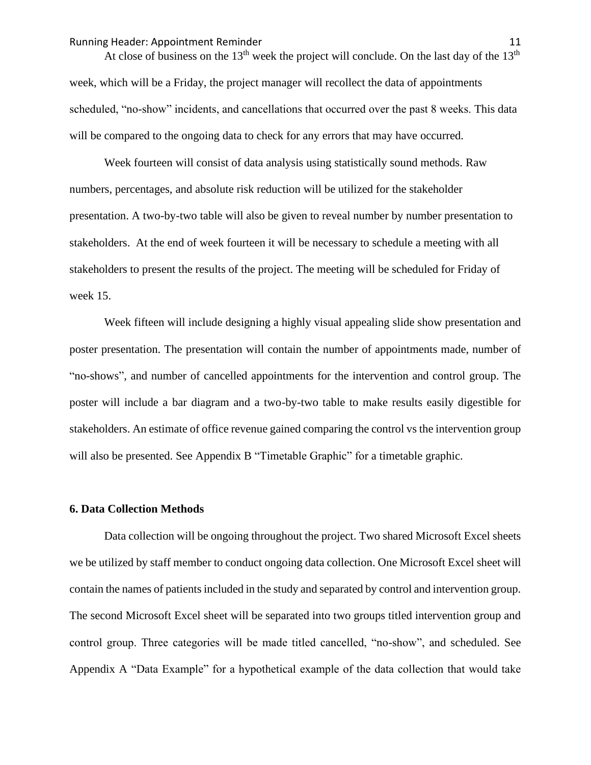#### Running Header: Appointment Reminder 11 and 11 and 11 and 11 and 11 and 11 and 11 and 11 and 11 and 11 and 11 and 11 and 11 and 11 and 11 and 11 and 11 and 11 and 11 and 11 and 11 and 11 and 11 and 12 and 12 and 12 and 12

At close of business on the 13<sup>th</sup> week the project will conclude. On the last day of the 13<sup>th</sup> week, which will be a Friday, the project manager will recollect the data of appointments scheduled, "no-show" incidents, and cancellations that occurred over the past 8 weeks. This data will be compared to the ongoing data to check for any errors that may have occurred.

Week fourteen will consist of data analysis using statistically sound methods. Raw numbers, percentages, and absolute risk reduction will be utilized for the stakeholder presentation. A two-by-two table will also be given to reveal number by number presentation to stakeholders. At the end of week fourteen it will be necessary to schedule a meeting with all stakeholders to present the results of the project. The meeting will be scheduled for Friday of week 15.

Week fifteen will include designing a highly visual appealing slide show presentation and poster presentation. The presentation will contain the number of appointments made, number of "no-shows", and number of cancelled appointments for the intervention and control group. The poster will include a bar diagram and a two-by-two table to make results easily digestible for stakeholders. An estimate of office revenue gained comparing the control vs the intervention group will also be presented. See Appendix B "Timetable Graphic" for a timetable graphic.

#### **6. Data Collection Methods**

Data collection will be ongoing throughout the project. Two shared Microsoft Excel sheets we be utilized by staff member to conduct ongoing data collection. One Microsoft Excel sheet will contain the names of patients included in the study and separated by control and intervention group. The second Microsoft Excel sheet will be separated into two groups titled intervention group and control group. Three categories will be made titled cancelled, "no-show", and scheduled. See Appendix A "Data Example" for a hypothetical example of the data collection that would take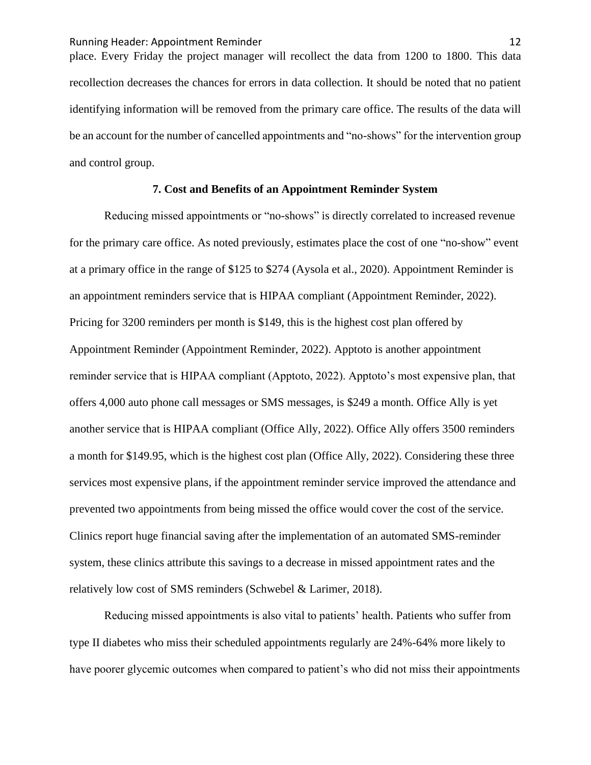Running Header: Appointment Reminder 12 and 12 place. Every Friday the project manager will recollect the data from 1200 to 1800. This data recollection decreases the chances for errors in data collection. It should be noted that no patient identifying information will be removed from the primary care office. The results of the data will be an account for the number of cancelled appointments and "no-shows" for the intervention group and control group.

#### **7. Cost and Benefits of an Appointment Reminder System**

Reducing missed appointments or "no-shows" is directly correlated to increased revenue for the primary care office. As noted previously, estimates place the cost of one "no-show" event at a primary office in the range of \$125 to \$274 (Aysola et al., 2020). Appointment Reminder is an appointment reminders service that is HIPAA compliant (Appointment Reminder, 2022). Pricing for 3200 reminders per month is \$149, this is the highest cost plan offered by Appointment Reminder (Appointment Reminder, 2022). Apptoto is another appointment reminder service that is HIPAA compliant (Apptoto, 2022). Apptoto's most expensive plan, that offers 4,000 auto phone call messages or SMS messages, is \$249 a month. Office Ally is yet another service that is HIPAA compliant (Office Ally, 2022). Office Ally offers 3500 reminders a month for \$149.95, which is the highest cost plan (Office Ally, 2022). Considering these three services most expensive plans, if the appointment reminder service improved the attendance and prevented two appointments from being missed the office would cover the cost of the service. Clinics report huge financial saving after the implementation of an automated SMS-reminder system, these clinics attribute this savings to a decrease in missed appointment rates and the relatively low cost of SMS reminders (Schwebel & Larimer, 2018).

Reducing missed appointments is also vital to patients' health. Patients who suffer from type II diabetes who miss their scheduled appointments regularly are 24%-64% more likely to have poorer glycemic outcomes when compared to patient's who did not miss their appointments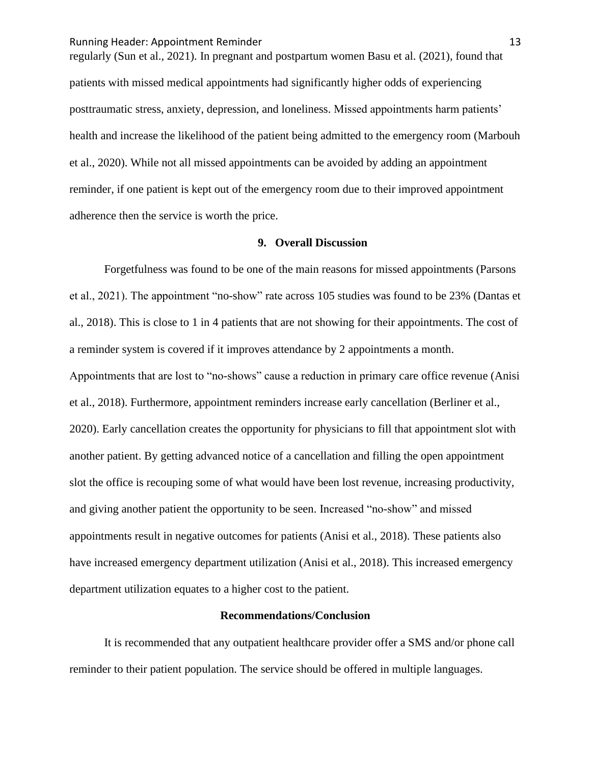regularly (Sun et al., 2021). In pregnant and postpartum women Basu et al. (2021), found that patients with missed medical appointments had significantly higher odds of experiencing posttraumatic stress, anxiety, depression, and loneliness. Missed appointments harm patients' health and increase the likelihood of the patient being admitted to the emergency room (Marbouh et al., 2020). While not all missed appointments can be avoided by adding an appointment reminder, if one patient is kept out of the emergency room due to their improved appointment adherence then the service is worth the price.

#### **9. Overall Discussion**

Forgetfulness was found to be one of the main reasons for missed appointments (Parsons et al., 2021). The appointment "no-show" rate across 105 studies was found to be 23% (Dantas et al., 2018). This is close to 1 in 4 patients that are not showing for their appointments. The cost of a reminder system is covered if it improves attendance by 2 appointments a month. Appointments that are lost to "no-shows" cause a reduction in primary care office revenue (Anisi et al., 2018). Furthermore, appointment reminders increase early cancellation (Berliner et al., 2020). Early cancellation creates the opportunity for physicians to fill that appointment slot with another patient. By getting advanced notice of a cancellation and filling the open appointment slot the office is recouping some of what would have been lost revenue, increasing productivity, and giving another patient the opportunity to be seen. Increased "no-show" and missed appointments result in negative outcomes for patients (Anisi et al., 2018). These patients also have increased emergency department utilization (Anisi et al., 2018). This increased emergency department utilization equates to a higher cost to the patient.

#### **Recommendations/Conclusion**

It is recommended that any outpatient healthcare provider offer a SMS and/or phone call reminder to their patient population. The service should be offered in multiple languages.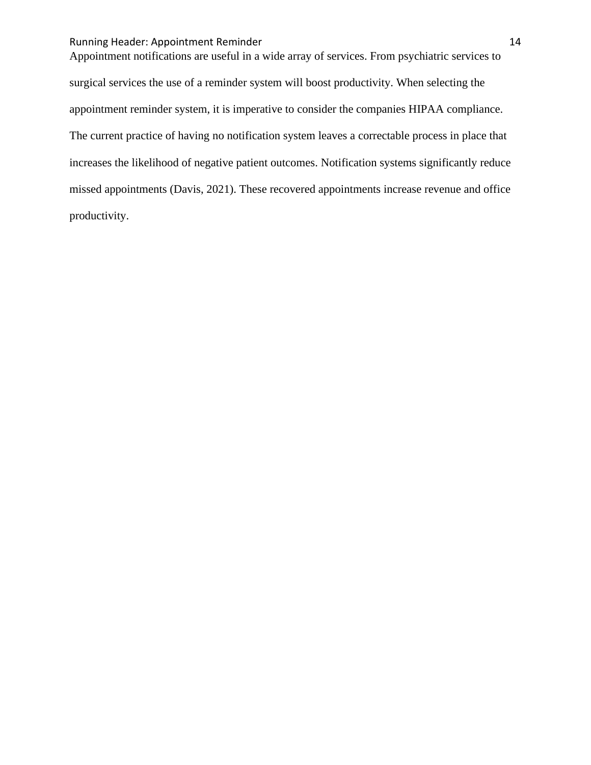#### Running Header: Appointment Reminder 14

Appointment notifications are useful in a wide array of services. From psychiatric services to surgical services the use of a reminder system will boost productivity. When selecting the appointment reminder system, it is imperative to consider the companies HIPAA compliance. The current practice of having no notification system leaves a correctable process in place that increases the likelihood of negative patient outcomes. Notification systems significantly reduce missed appointments (Davis, 2021). These recovered appointments increase revenue and office productivity.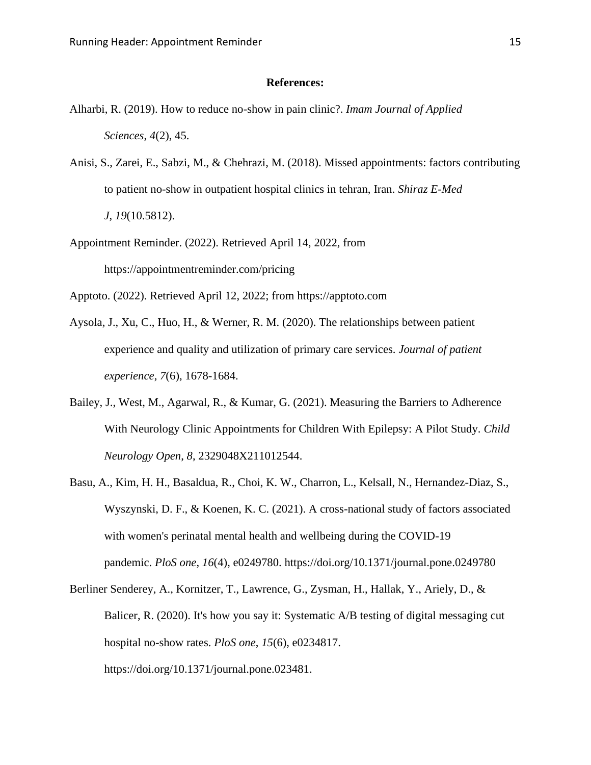#### **References:**

- Alharbi, R. (2019). How to reduce no-show in pain clinic?. *Imam Journal of Applied Sciences*, *4*(2), 45.
- Anisi, S., Zarei, E., Sabzi, M., & Chehrazi, M. (2018). Missed appointments: factors contributing to patient no-show in outpatient hospital clinics in tehran, Iran. *Shiraz E-Med J*, *19*(10.5812).
- Appointment Reminder. (2022). Retrieved April 14, 2022, from https://appointmentreminder.com/pricing
- Apptoto. (2022). Retrieved April 12, 2022; from https://apptoto.com
- Aysola, J., Xu, C., Huo, H., & Werner, R. M. (2020). The relationships between patient experience and quality and utilization of primary care services. *Journal of patient experience*, *7*(6), 1678-1684.
- Bailey, J., West, M., Agarwal, R., & Kumar, G. (2021). Measuring the Barriers to Adherence With Neurology Clinic Appointments for Children With Epilepsy: A Pilot Study. *Child Neurology Open*, *8*, 2329048X211012544.
- Basu, A., Kim, H. H., Basaldua, R., Choi, K. W., Charron, L., Kelsall, N., Hernandez-Diaz, S., Wyszynski, D. F., & Koenen, K. C. (2021). A cross-national study of factors associated with women's perinatal mental health and wellbeing during the COVID-19 pandemic. *PloS one*, *16*(4), e0249780. https://doi.org/10.1371/journal.pone.0249780
- Berliner Senderey, A., Kornitzer, T., Lawrence, G., Zysman, H., Hallak, Y., Ariely, D., & Balicer, R. (2020). It's how you say it: Systematic A/B testing of digital messaging cut hospital no-show rates. *PloS one*, *15*(6), e0234817. https://doi.org/10.1371/journal.pone.023481.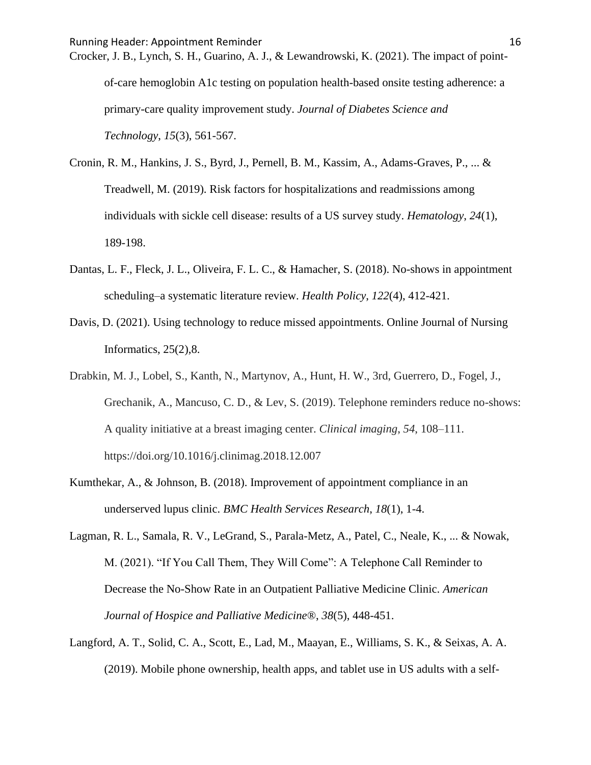Crocker, J. B., Lynch, S. H., Guarino, A. J., & Lewandrowski, K. (2021). The impact of pointof-care hemoglobin A1c testing on population health-based onsite testing adherence: a primary-care quality improvement study. *Journal of Diabetes Science and Technology*, *15*(3), 561-567.

- Cronin, R. M., Hankins, J. S., Byrd, J., Pernell, B. M., Kassim, A., Adams-Graves, P., ... & Treadwell, M. (2019). Risk factors for hospitalizations and readmissions among individuals with sickle cell disease: results of a US survey study. *Hematology*, *24*(1), 189-198.
- Dantas, L. F., Fleck, J. L., Oliveira, F. L. C., & Hamacher, S. (2018). No-shows in appointment scheduling–a systematic literature review. *Health Policy*, *122*(4), 412-421.
- Davis, D. (2021). Using technology to reduce missed appointments. Online Journal of Nursing Informatics, 25(2),8.
- Drabkin, M. J., Lobel, S., Kanth, N., Martynov, A., Hunt, H. W., 3rd, Guerrero, D., Fogel, J., Grechanik, A., Mancuso, C. D., & Lev, S. (2019). Telephone reminders reduce no-shows: A quality initiative at a breast imaging center. *Clinical imaging*, *54*, 108–111. https://doi.org/10.1016/j.clinimag.2018.12.007
- Kumthekar, A., & Johnson, B. (2018). Improvement of appointment compliance in an underserved lupus clinic. *BMC Health Services Research*, *18*(1), 1-4.
- Lagman, R. L., Samala, R. V., LeGrand, S., Parala-Metz, A., Patel, C., Neale, K., ... & Nowak, M. (2021). "If You Call Them, They Will Come": A Telephone Call Reminder to Decrease the No-Show Rate in an Outpatient Palliative Medicine Clinic. *American Journal of Hospice and Palliative Medicine®*, *38*(5), 448-451.
- Langford, A. T., Solid, C. A., Scott, E., Lad, M., Maayan, E., Williams, S. K., & Seixas, A. A. (2019). Mobile phone ownership, health apps, and tablet use in US adults with a self-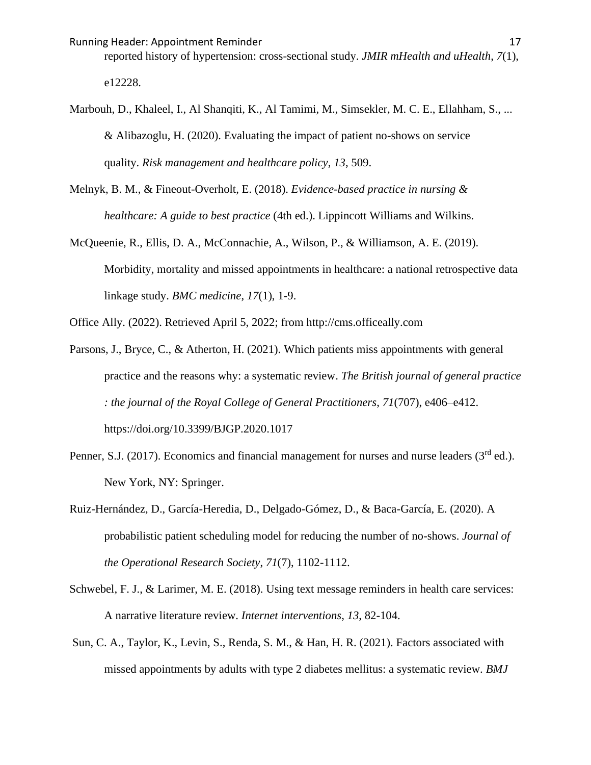reported history of hypertension: cross-sectional study. *JMIR mHealth and uHealth*, *7*(1), e12228.

Marbouh, D., Khaleel, I., Al Shanqiti, K., Al Tamimi, M., Simsekler, M. C. E., Ellahham, S., ... & Alibazoglu, H. (2020). Evaluating the impact of patient no-shows on service quality. *Risk management and healthcare policy*, *13*, 509.

Melnyk, B. M., & Fineout-Overholt, E. (2018). *Evidence-based practice in nursing & healthcare: A guide to best practice* (4th ed.). Lippincott Williams and Wilkins.

McQueenie, R., Ellis, D. A., McConnachie, A., Wilson, P., & Williamson, A. E. (2019). Morbidity, mortality and missed appointments in healthcare: a national retrospective data linkage study. *BMC medicine*, *17*(1), 1-9.

Office Ally. (2022). Retrieved April 5, 2022; from http://cms.officeally.com

- Parsons, J., Bryce, C., & Atherton, H. (2021). Which patients miss appointments with general practice and the reasons why: a systematic review. *The British journal of general practice : the journal of the Royal College of General Practitioners*, *71*(707), e406–e412. https://doi.org/10.3399/BJGP.2020.1017
- Penner, S.J. (2017). Economics and financial management for nurses and nurse leaders (3<sup>rd</sup> ed.). New York, NY: Springer.
- Ruiz-Hernández, D., García-Heredia, D., Delgado-Gómez, D., & Baca-García, E. (2020). A probabilistic patient scheduling model for reducing the number of no-shows. *Journal of the Operational Research Society*, *71*(7), 1102-1112.
- Schwebel, F. J., & Larimer, M. E. (2018). Using text message reminders in health care services: A narrative literature review. *Internet interventions*, *13*, 82-104.
- Sun, C. A., Taylor, K., Levin, S., Renda, S. M., & Han, H. R. (2021). Factors associated with missed appointments by adults with type 2 diabetes mellitus: a systematic review. *BMJ*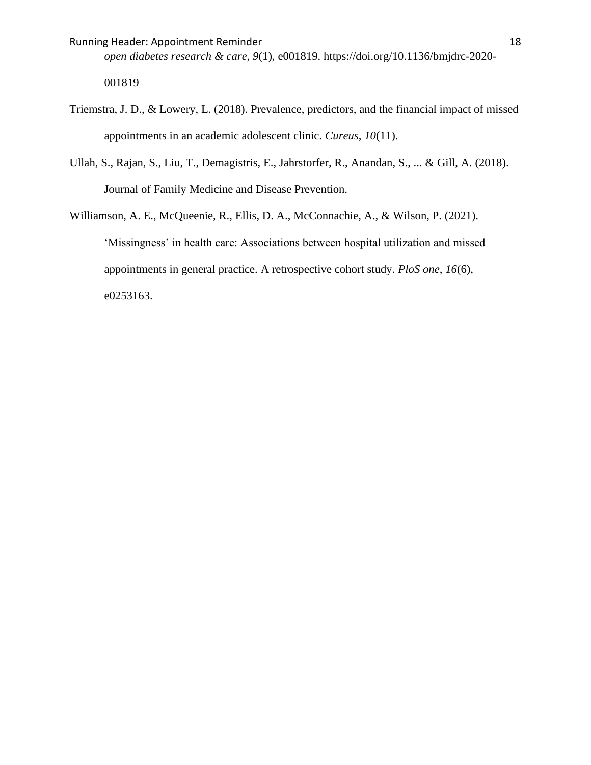Running Header: Appointment Reminder 18 and 18

*open diabetes research & care*, *9*(1), e001819. https://doi.org/10.1136/bmjdrc-2020- 001819

- Triemstra, J. D., & Lowery, L. (2018). Prevalence, predictors, and the financial impact of missed appointments in an academic adolescent clinic. *Cureus*, *10*(11).
- Ullah, S., Rajan, S., Liu, T., Demagistris, E., Jahrstorfer, R., Anandan, S., ... & Gill, A. (2018). Journal of Family Medicine and Disease Prevention.

Williamson, A. E., McQueenie, R., Ellis, D. A., McConnachie, A., & Wilson, P. (2021). 'Missingness' in health care: Associations between hospital utilization and missed appointments in general practice. A retrospective cohort study. *PloS one*, *16*(6), e0253163.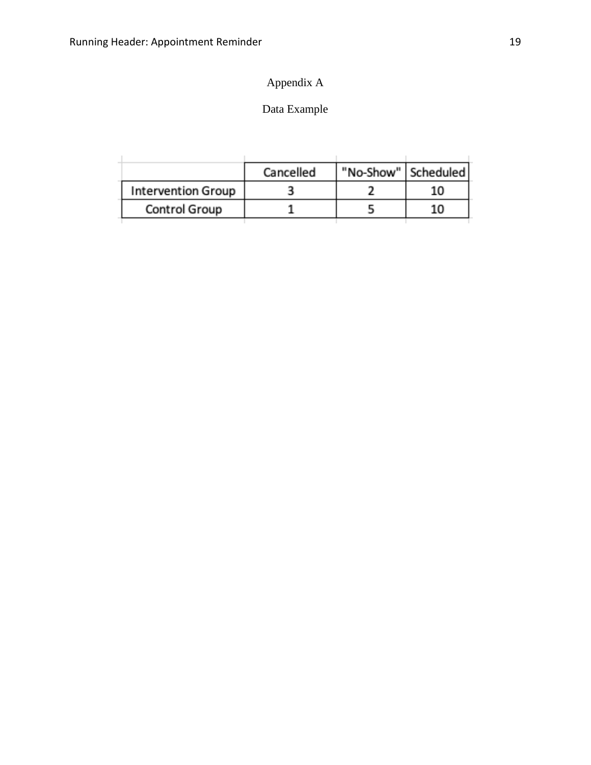# Appendix A

## Data Example

|                           | Cancelled | "No-Show"   Scheduled |    |
|---------------------------|-----------|-----------------------|----|
| <b>Intervention Group</b> |           |                       | 10 |
| Control Group             |           |                       | 10 |